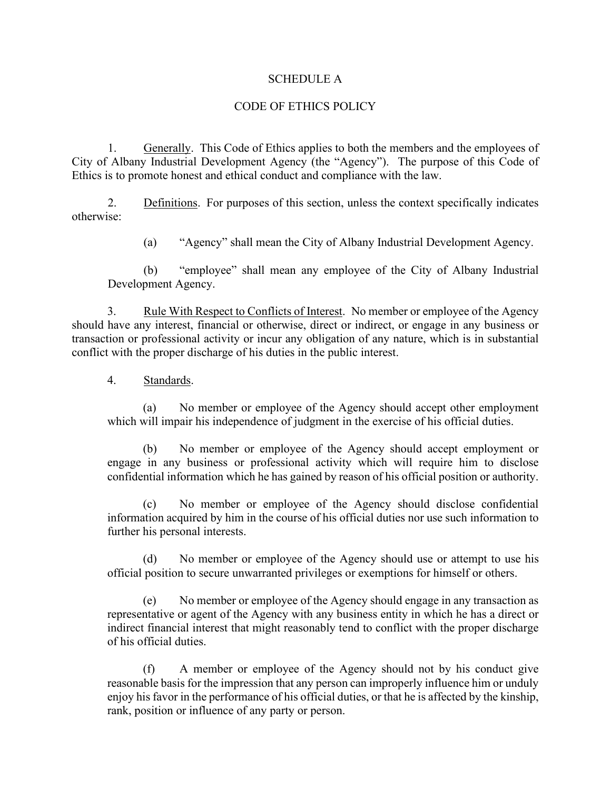## SCHEDULE A

## CODE OF ETHICS POLICY

1. Generally. This Code of Ethics applies to both the members and the employees of City of Albany Industrial Development Agency (the "Agency"). The purpose of this Code of Ethics is to promote honest and ethical conduct and compliance with the law.

2. Definitions. For purposes of this section, unless the context specifically indicates otherwise:

(a) "Agency" shall mean the City of Albany Industrial Development Agency.

(b) "employee" shall mean any employee of the City of Albany Industrial Development Agency.

3. Rule With Respect to Conflicts of Interest. No member or employee of the Agency should have any interest, financial or otherwise, direct or indirect, or engage in any business or transaction or professional activity or incur any obligation of any nature, which is in substantial conflict with the proper discharge of his duties in the public interest.

4. Standards.

(a) No member or employee of the Agency should accept other employment which will impair his independence of judgment in the exercise of his official duties.

(b) No member or employee of the Agency should accept employment or engage in any business or professional activity which will require him to disclose confidential information which he has gained by reason of his official position or authority.

(c) No member or employee of the Agency should disclose confidential information acquired by him in the course of his official duties nor use such information to further his personal interests.

(d) No member or employee of the Agency should use or attempt to use his official position to secure unwarranted privileges or exemptions for himself or others.

(e) No member or employee of the Agency should engage in any transaction as representative or agent of the Agency with any business entity in which he has a direct or indirect financial interest that might reasonably tend to conflict with the proper discharge of his official duties.

(f) A member or employee of the Agency should not by his conduct give reasonable basis for the impression that any person can improperly influence him or unduly enjoy his favor in the performance of his official duties, or that he is affected by the kinship, rank, position or influence of any party or person.